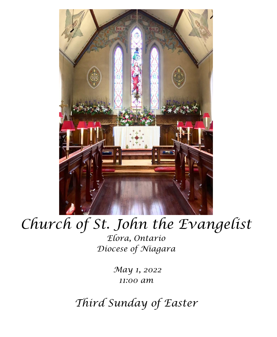

# *Church of St. John the Evangelist*

*Elora, Ontario Diocese of Niagara*

> *May 1, 2022 11:00 am*

*Third Sunday of Easter*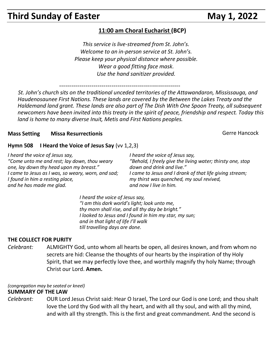# **Third Sunday of Easter May 1, 2022**

## **11:00 am Choral Eucharist (BCP)**

*This service is live-streamed from St. John's. Welcome to an in-person service at St. John's. Please keep your physical distance where possible. Wear a good fitting face mask. Use the hand sanitizer provided.*

------------------------------------------------------------

 *St. John's church sits on the traditional unceded territories of the Attawandaron, Mississauga, and Haudenosaunee First Nations. These lands are covered by the Between the Lakes Treaty and the Haldemand land grant. These lands are also part of The Dish With One Spoon Treaty, all subsequent newcomers have been invited into this treaty in the spirit of peace, friendship and respect. Today this land is home to many diverse Inuit, Metis and First Nations peoples.* 

#### **Mass Setting Missa Resurrectionis** Mass **Gerre Hancock** Gerre Hancock

#### **Hymn 508 I Heard the Voice of Jesus Say** (vv 1,2,3)

*I heard the voice of Jesus say, "Come unto me and rest; lay down, thou weary one, lay down thy head upon my breast." I came to Jesus as I was, so weary, worn, and sad; I found in him a resting place, and he has made me glad.*

*I heard the voice of Jesus say, "Behold, I freely give the living water; thirsty one, stop down and drink and live." I came to Jesus and I drank of that life giving stream; my thirst was quenched, my soul revived, and now I live in him.*

*I heard the voice of Jesus say, "I am this dark world's light; look unto me, thy morn shall rise, and all thy day be bright." I looked to Jesus and I found in him my star, my sun; and in that light of life I'll walk till travelling days are done.*

#### **THE COLLECT FOR PURITY**

*Celebrant:* ALMIGHTY God, unto whom all hearts be open, all desires known, and from whom no secrets are hid: Cleanse the thoughts of our hearts by the inspiration of thy Holy Spirit, that we may perfectly love thee, and worthily magnify thy holy Name; through Christ our Lord. **Amen.**

*(congregation may be seated or kneel)*

#### **SUMMARY OF THE LAW**

*Celebrant:* OUR Lord Jesus Christ said: Hear O Israel, The Lord our God is one Lord; and thou shalt love the Lord thy God with all thy heart, and with all thy soul, and with all thy mind, and with all thy strength. This is the first and great commandment. And the second is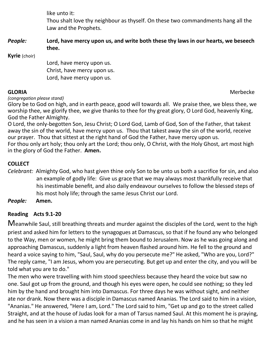like unto it:

Thou shalt love thy neighbour as thyself. On these two commandments hang all the Law and the Prophets.

*People:* **Lord, have mercy upon us, and write both these thy laws in our hearts, we beseech thee.**

**Kyrie** (choir)

Lord, have mercy upon us. Christ, have mercy upon us. Lord, have mercy upon us.

*(congregation please stand)*

Glory be to God on high, and in earth peace, good will towards all. We praise thee, we bless thee, we worship thee, we glorify thee, we give thanks to thee for thy great glory, O Lord God, heavenly King, God the Father Almighty.

O Lord, the only-begotten Son, Jesu Christ; O Lord God, Lamb of God, Son of the Father, that takest away the sin of the world, have mercy upon us. Thou that takest away the sin of the world, receive our prayer. Thou that sittest at the right hand of God the Father, have mercy upon us. For thou only art holy; thou only art the Lord; thou only, O Christ, with the Holy Ghost, art most high in the glory of God the Father. **Amen.**

# **COLLECT**

*Celebrant:* Almighty God, who hast given thine only Son to be unto us both a sacrifice for sin, and also an example of godly life: Give us grace that we may always most thankfully receive that his inestimable benefit, and also daily endeavour ourselves to follow the blessed steps of his most holy life; through the same Jesus Christ our Lord.

*People:* **Amen.**

# **Reading Acts 9.1-20**

Meanwhile Saul, still breathing threats and murder against the disciples of the Lord, went to the high priest and asked him for letters to the synagogues at Damascus, so that if he found any who belonged to the Way, men or women, he might bring them bound to Jerusalem. Now as he was going along and approaching Damascus, suddenly a light from heaven flashed around him. He fell to the ground and heard a voice saying to him, "Saul, Saul, why do you persecute me?" He asked, "Who are you, Lord?" The reply came, "I am Jesus, whom you are persecuting. But get up and enter the city, and you will be told what you are to do."

The men who were travelling with him stood speechless because they heard the voice but saw no one. Saul got up from the ground, and though his eyes were open, he could see nothing; so they led him by the hand and brought him into Damascus. For three days he was without sight, and neither ate nor drank. Now there was a disciple in Damascus named Ananias. The Lord said to him in a vision, "Ananias." He answered, "Here I am, Lord." The Lord said to him, "Get up and go to the street called Straight, and at the house of Judas look for a man of Tarsus named Saul. At this moment he is praying, and he has seen in a vision a man named Ananias come in and lay his hands on him so that he might

**GLORIA** Merbecke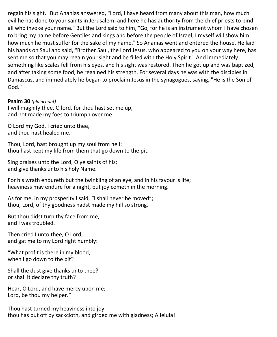regain his sight." But Ananias answered, "Lord, I have heard from many about this man, how much evil he has done to your saints in Jerusalem; and here he has authority from the chief priests to bind all who invoke your name." But the Lord said to him, "Go, for he is an instrument whom I have chosen to bring my name before Gentiles and kings and before the people of Israel; I myself will show him how much he must suffer for the sake of my name." So Ananias went and entered the house. He laid his hands on Saul and said, "Brother Saul, the Lord Jesus, who appeared to you on your way here, has sent me so that you may regain your sight and be filled with the Holy Spirit." And immediately something like scales fell from his eyes, and his sight was restored. Then he got up and was baptized, and after taking some food, he regained his strength. For several days he was with the disciples in Damascus, and immediately he began to proclaim Jesus in the synagogues, saying, "He is the Son of God."

#### **Psalm 30** *(plainchant)*

I will magnify thee, O lord, for thou hast set me up, and not made my foes to triumph over me.

O Lord my God, I cried unto thee, and thou hast healed me.

Thou, Lord, hast brought up my soul from hell: thou hast kept my life from them that go down to the pit.

Sing praises unto the Lord, O ye saints of his; and give thanks unto his holy Name.

For his wrath endureth but the twinkling of an eye, and in his favour is life; heaviness may endure for a night, but joy cometh in the morning.

As for me, in my prosperity I said, "I shall never be moved"; thou, Lord, of thy goodness hadst made my hill so strong.

But thou didst turn thy face from me, and I was troubled.

Then cried I unto thee, O Lord, and gat me to my Lord right humbly:

"What profit is there in my blood, when I go down to the pit?

Shall the dust give thanks unto thee? or shall it declare thy truth?

Hear, O Lord, and have mercy upon me; Lord, be thou my helper."

Thou hast turned my heaviness into joy; thou has put off by sackcloth, and girded me with gladness; Alleluia!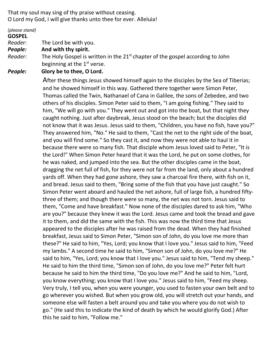That my soul may sing of thy praise without ceasing. O Lord my God, I will give thanks unto thee for ever. Alleluia!

*(please stand)*

#### **GOSPEL**

*Reader:*The Lord be with you.

- *People:* **And with thy spirit.**
- Reader: The Holy Gospel is written in the 21<sup>st</sup> chapter of the gospel according to John beginning at the 1<sup>st</sup> verse.

#### *People:* **Glory be to thee, O Lord.**

After these things Jesus showed himself again to the disciples by the Sea of Tiberias; and he showed himself in this way. Gathered there together were Simon Peter, Thomas called the Twin, Nathanael of Cana in Galilee, the sons of Zebedee, and two others of his disciples. Simon Peter said to them, "I am going fishing." They said to him, "We will go with you." They went out and got into the boat, but that night they caught nothing. Just after daybreak, Jesus stood on the beach; but the disciples did not know that it was Jesus. Jesus said to them, "Children, you have no fish, have you?" They answered him, "No." He said to them, "Cast the net to the right side of the boat, and you will find some." So they cast it, and now they were not able to haul it in because there were so many fish. That disciple whom Jesus loved said to Peter, "It is the Lord!" When Simon Peter heard that it was the Lord, he put on some clothes, for he was naked, and jumped into the sea. But the other disciples came in the boat, dragging the net full of fish, for they were not far from the land, only about a hundred yards off. When they had gone ashore, they saw a charcoal fire there, with fish on it, and bread. Jesus said to them, "Bring some of the fish that you have just caught." So Simon Peter went aboard and hauled the net ashore, full of large fish, a hundred fiftythree of them; and though there were so many, the net was not torn. Jesus said to them, "Come and have breakfast." Now none of the disciples dared to ask him, "Who are you?" because they knew it was the Lord. Jesus came and took the bread and gave it to them, and did the same with the fish. This was now the third time that Jesus appeared to the disciples after he was raised from the dead. When they had finished breakfast, Jesus said to Simon Peter, "Simon son of John, do you love me more than these?" He said to him, "Yes, Lord; you know that I love you." Jesus said to him, "Feed my lambs." A second time he said to him, "Simon son of John, do you love me?" He said to him, "Yes, Lord; you know that I love you." Jesus said to him, "Tend my sheep." He said to him the third time, "Simon son of John, do you love me?" Peter felt hurt because he said to him the third time, "Do you love me?" And he said to him, "Lord, you know everything; you know that I love you." Jesus said to him, "Feed my sheep. Very truly, I tell you, when you were younger, you used to fasten your own belt and to go wherever you wished. But when you grow old, you will stretch out your hands, and someone else will fasten a belt around you and take you where you do not wish to go." (He said this to indicate the kind of death by which he would glorify God.) After this he said to him, "Follow me."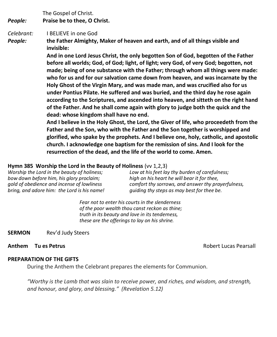The Gospel of Christ.

*People:* **Praise be to thee, O Christ.**

*Celebrant:* I BELIEVE in one God

*People:* **the Father Almighty, Maker of heaven and earth, and of all things visible and invisible:**

> **And in one Lord Jesus Christ, the only begotten Son of God, begotten of the Father before all worlds; God, of God; light, of light; very God, of very God; begotten, not made; being of one substance with the Father; through whom all things were made: who for us and for our salvation came down from heaven, and was incarnate by the Holy Ghost of the Virgin Mary, and was made man, and was crucified also for us under Pontius Pilate. He suffered and was buried, and the third day he rose again according to the Scriptures, and ascended into heaven, and sitteth on the right hand of the Father. And he shall come again with glory to judge both the quick and the dead: whose kingdom shall have no end.**

> **And I believe in the Holy Ghost, the Lord, the Giver of life, who proceedeth from the Father and the Son, who with the Father and the Son together is worshipped and glorified, who spake by the prophets. And I believe one, holy, catholic, and apostolic church. I acknowledge one baptism for the remission of sins. And I look for the resurrection of the dead, and the life of the world to come. Amen.**

#### **Hymn 385 Worship the Lord in the Beauty of Holiness** (vv 1,2,3)

*Worship the Lord in the beauty of holiness; bow down before him, his glory proclaim; gold of obedience and incense of lowliness bring, and adore him: the Lord is his name!* *Low at his feet lay thy burden of carefulness; high on his heart he will bear it for thee, comfort thy sorrows, and answer thy prayerfulness, guiding thy steps as may best for thee be.*

*Fear not to enter his courts in the slenderness of the poor wealth thou canst reckon as thine; truth in its beauty and love in its tenderness, these are the offerings to lay on his shrine.*

**SERMON** Rev'd Judy Steers

**Anthem Tu es Petrus** 

#### **PREPARATION OF THE GIFTS**

During the Anthem the Celebrant prepares the elements for Communion.

*"Worthy is the Lamb that was slain to receive power, and riches, and wisdom, and strength, and honour, and glory, and blessing." (Revelation 5.12)*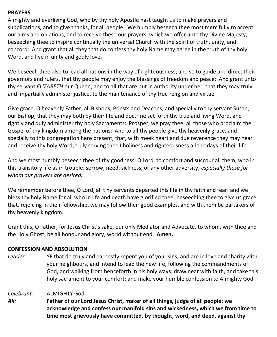#### **PRAYERS**

Almighty and everliving God, who by thy holy Apostle hast taught us to make prayers and supplications, and to give thanks, for all people: We humbly beseech thee most mercifully to accept our alms and oblations, and to receive these our prayers, which we offer unto thy Divine Majesty; beseeching thee to inspire continually the universal Church with the spirit of truth, unity, and concord: And grant that all they that do confess thy holy Name may agree in the truth of thy holy Word, and live in unity and godly love.

We beseech thee also to lead all nations in the way of righteousness; and so to guide and direct their governors and rulers, that thy people may enjoy the blessings of freedom and peace: And grant unto thy servant *ELIZABETH* our Queen, and to all that are put in authority under her, that they may truly and impartially administer justice, to the maintenance of thy true religion and virtue.

Give grace, O heavenly Father, all Bishops, Priests and Deacons, and specially to thy servant Susan, our Bishop, that they may both by their life and doctrine set forth thy true and living Word, and rightly and duly administer thy holy Sacraments: Prosper, we pray thee, all those who proclaim the Gospel of thy kingdom among the nations: And to all thy people give thy heavenly grace, and specially to this congregation here present, that, with meek heart and due reverence they may hear and receive thy holy Word; truly serving thee I holiness and righteousness all the days of their life.

And we most humbly beseech thee of thy goodness, O Lord, to comfort and succour all them, who in this transitory life as in trouble, sorrow, need, sickness, or any other adversity, *especially those for whom our prayers are desired.*

We remember before thee, O Lord, all t hy servants departed this life in thy faith and fear: and we bless thy holy Name for all who in life and death have glorified thee; beseeching thee to give us grace that, rejoicing in their fellowship, we may follow their good examples, and with them be partakers of thy heavenly kingdom.

Grant this, O Father, for Jesus Christ's sake, our only Mediator and Advocate, to whom, with thee and the Holy Ghost, be all honour and glory, world without end. **Amen.**

#### **CONFESSION AND ABSOLUTION**

*Leader:* YE that do truly and earnestly repent you of your sins, and are in love and charity with your neighbours, and intend to lead the new life, following the commandments of God, and walking from henceforth in his holy ways: draw near with faith, and take this holy sacrament to your comfort; and make your humble confession to Almighty God.

*Celebrant:* ALMIGHTY God,

*All:* **Father of our Lord Jesus Christ, maker of all things, judge of all people: we acknowledge and confess our manifold sins and wickedness, which we from time to time most grievously have committed, by thought, word, and deed, against thy**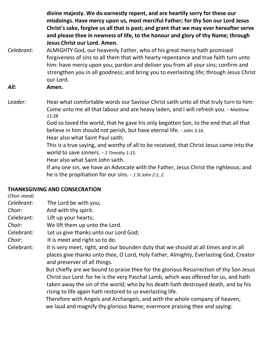**divine majesty. We do earnestly repent, and are heartily sorry for these our misdoings. Have mercy upon us, most merciful Father; for thy Son our Lord Jesus Christ's sake, forgive us all that is past; and grant that we may ever hereafter serve and please thee in newness of life, to the honour and glory of thy Name; through Jesus Christ our Lord. Amen.**

*Celebrant:* ALMIGHTY God, our heavenly Father, who of his great mercy hath promised forgiveness of sins to all them that with hearty repentance and true faith turn unto him: have mercy upon you; pardon and deliver you from all your sins; confirm and strengthen you in all goodness; and bring you to everlasting life; through Jesus Christ our Lord.

*All:* **Amen.**

Leader: Hear what comfortable words our Saviour Christ saith unto all that truly turn to him: Come unto me all that labour and are heavy laden, and I will refresh you. - *Matthew 11:28*

God so loved the world, that he gave his only begotten Son, to the end that all that believe in him should not perish, but have eternal life. - *John 3:16.*

Hear also what Saint Paul saith:

This is a true saying, and worthy of all to be received, that Christ Jesus came into the world to save sinners. - *1 Timothy 1:15.*

Hear also what Saint John saith.

If any one sin, we have an Advocate with the Father, Jesus Christ the righteous; and he is the propitiation for our sins. - *1 St John 2:1, 2*.

### **THANKSGIVING AND CONSECRATION**

*(Choir stand) Celebrant:* The Lord be with you; *Choir:* And with thy spirit. Celebrant: Lift up your hearts; *Choir:* We lift them up unto the Lord. Celebrant*:* Let us give thanks unto our Lord God; *Choir*: It is meet and right so to do. Celebrant*:* It is very meet, right, and our bounden duty that we should at all times and in all places give thanks unto thee, O Lord, Holy Father, Almighty, Everlasting God, Creator and preserver of all things. But chiefly are we bound to praise thee for the glorious Resurrection of thy Son Jesus Christ our Lord: for he is the very Paschal Lamb, which was offered for us, and hath taken away the sin of the world; who by his death hath destroyed death, and by his rising to life again hath restored to us everlasting life. Therefore with Angels and Archangels, and with the whole company of heaven, we laud and magnify thy glorious Name; evermore praising thee and saying: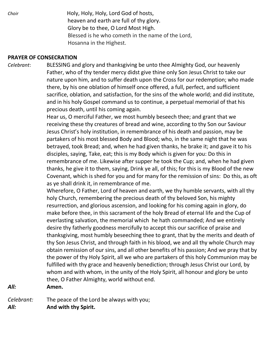*Choir* **Holy, Holy, Holy, Lord God of hosts,**  heaven and earth are full of thy glory. Glory be to thee, O Lord Most High. Blessed is he who cometh in the name of the Lord, Hosanna in the Highest.

#### **PRAYER OF CONSECRATION**

*Celebrant*: BLESSING and glory and thanksgiving be unto thee Almighty God, our heavenly Father, who of thy tender mercy didst give thine only Son Jesus Christ to take our nature upon him, and to suffer death upon the Cross for our redemption; who made there, by his one oblation of himself once offered, a full, perfect, and sufficient sacrifice, oblation, and satisfaction, for the sins of the whole world; and did institute, and in his holy Gospel command us to continue, a perpetual memorial of that his precious death, until his coming again.

> Hear us, O merciful Father, we most humbly beseech thee; and grant that we receiving these thy creatures of bread and wine, according to thy Son our Saviour Jesus Christ's holy institution, in remembrance of his death and passion, may be partakers of his most blessed Body and Blood; who, in the same night that he was betrayed, took Bread; and, when he had given thanks, he brake it; and gave it to his disciples, saying, Take, eat; this is my Body which is given for you: Do this in remembrance of me. Likewise after supper he took the Cup; and, when he had given thanks, he give it to them, saying, Drink ye all, of this; for this is my Blood of the new Covenant, which is shed for you and for many for the remission of sins: Do this, as oft as ye shall drink it, in remembrance of me.

> Wherefore, O Father, Lord of heaven and earth, we thy humble servants, with all thy holy Church, remembering the precious death of thy beloved Son, his mighty resurrection, and glorious ascension, and looking for his coming again in glory, do make before thee, in this sacrament of the holy Bread of eternal life and the Cup of everlasting salvation, the memorial which he hath commanded; And we entirely desire thy fatherly goodness mercifully to accept this our sacrifice of praise and thanksgiving, most humbly beseeching thee to grant, that by the merits and death of thy Son Jesus Christ, and through faith in his blood, we and all thy whole Church may obtain remission of our sins, and all other benefits of his passion; And we pray that by the power of thy Holy Spirit, all we who are partakers of this holy Communion may be fulfilled with thy grace and heavenly benediction; through Jesus Christ our Lord, by whom and with whom, in the unity of the Holy Spirit, all honour and glory be unto thee, O Father Almighty, world without end.

*All:* **Amen.**

*Celebrant:* The peace of the Lord be always with you; *All:* **And with thy Spirit.**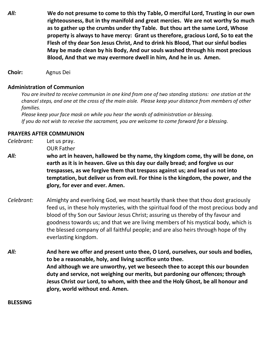- *All:* **We do not presume to come to this thy Table, O merciful Lord, Trusting in our own righteousness, But in thy manifold and great mercies. We are not worthy So much as to gather up the crumbs under thy Table. But thou art the same Lord, Whose property is always to have mercy: Grant us therefore, gracious Lord, So to eat the Flesh of thy dear Son Jesus Christ, And to drink his Blood, That our sinful bodies May be made clean by his Body, And our souls washed through his most precious Blood, And that we may evermore dwell in him, And he in us. Amen.**
- **Choir:** Agnus Dei

#### **Administration of Communion**

You are invited to receive communion in one kind from one of two standing stations: one station at the chancel steps, and one at the cross of the main aisle. Please keep your distance from members of other  *families.*

 *Please keep your face mask on while you hear the words of administration or blessing. If you do not wish to receive the sacrament, you are welcome to come forward for a blessing.*

#### **PRAYERS AFTER COMMUNION**

*Celebrant:* Let us pray. OUR Father

- *All:* **who art in heaven, hallowed be thy name, thy kingdom come, thy will be done, on earth as it is in heaven. Give us this day our daily bread; and forgive us our trespasses, as we forgive them that trespass against us; and lead us not into temptation, but deliver us from evil. For thine is the kingdom, the power, and the glory, for ever and ever. Amen.**
- *Celebrant:* Almighty and everliving God, we most heartily thank thee that thou dost graciously feed us, in these holy mysteries, with the spiritual food of the most precious body and blood of thy Son our Saviour Jesus Christ; assuring us thereby of thy favour and goodness towards us; and that we are living members of his mystical body, which is the blessed company of all faithful people; and are also heirs through hope of thy everlasting kingdom.
- *All:* **And here we offer and present unto thee, O Lord, ourselves, our souls and bodies, to be a reasonable, holy, and living sacrifice unto thee. And although we are unworthy, yet we beseech thee to accept this our bounden duty and service, not weighing our merits, but pardoning our offences; through Jesus Christ our Lord, to whom, with thee and the Holy Ghost, be all honour and glory, world without end. Amen.**

#### **BLESSING**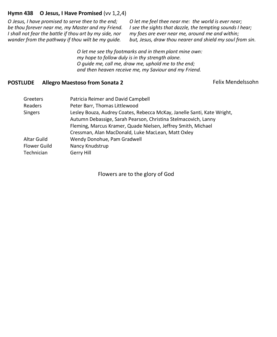#### **Hymn 438 O Jesus, I Have Promised** (vv 1,2,4)

*O Jesus, I have promised to serve thee to the end; be thou forever near me, my Master and my Friend. I shall not fear the battle if thou art by my side, nor wander from the pathway if thou wilt be my guide.*

*O let me feel thee near me: the world is ever near; I see the sights that dazzle, the tempting sounds I hear; my foes are ever near me, around me and within; but, Jesus, draw thou nearer and shield my soul from sin.*

*O let me see thy footmarks and in them plant mine own: my hope to follow duly is in thy strength alone. O guide me, call me, draw me, uphold me to the end; and then heaven receive me, my Saviour and my Friend.*

#### **POSTLUDE** Allegro Maestoso from Sonata 2 Felix Mendelssohn

| Greeters       | Patricia Reimer and David Campbell                                      |
|----------------|-------------------------------------------------------------------------|
| Readers        | Peter Barr, Thomas Littlewood                                           |
| <b>Singers</b> | Lesley Bouza, Audrey Coates, Rebecca McKay, Janelle Santi, Kate Wright, |
|                | Autumn Debassige, Sarah Pearson, Christina Stelmacovich, Lanny          |
|                | Fleming, Marcus Kramer, Quade Nielsen, Jeffrey Smith, Michael           |
|                | Cressman, Alan MacDonald, Luke MacLean, Matt Oxley                      |
| Altar Guild    | Wendy Donohue, Pam Gradwell                                             |
| Flower Guild   | Nancy Knudstrup                                                         |
| Technician     | Gerry Hill                                                              |

Flowers are to the glory of God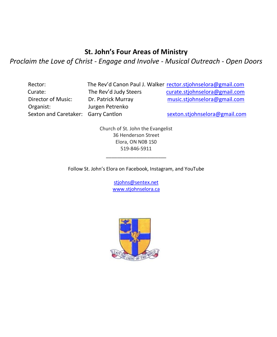# **St. John's Four Areas of Ministry**

*Proclaim the Love of Christ - Engage and Involve - Musical Outreach - Open Doors*

| Rector:                   | The  |
|---------------------------|------|
| Curate:                   | The  |
| Director of Music:        | Dr.  |
| Organist:                 | Juri |
| Sexton and Caretaker: Gar |      |

Rev'd Canon Paul J. Walker [rector.stjohnselora@gmail.com](mailto:rector.stjohnselora@gmail.com) e Rev'd Judy Steers [curate.stjohnselora@gmail.com](mailto:curate.stjohnselora@gmail.com) Patrick Murray music.stjohnselora@gmail.com gen Petrenko

rry Cantlon [sexton.stjohnselora@gmail.com](mailto:sexton.stjohnselora@gmail.com)

Church of St. John the Evangelist 36 Henderson Street Elora, ON N0B 1S0 519-846-5911

Follow St. John's Elora on Facebook, Instagram, and YouTube

\_\_\_\_\_\_\_\_\_\_\_\_\_\_\_\_\_\_\_\_\_\_

[stjohns@sentex.net](mailto:stjohns@sentex.net) [www.stjohnselora.ca](http://www.stjohnselora.ca/)

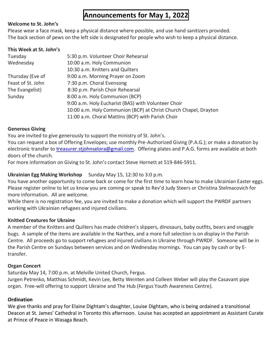# **Announcements for May 1, 2022**

#### **Welcome to St. John's**

Please wear a face mask, keep a physical distance where possible, and use hand sanitizers provided. The back section of pews on the left side is designated for people who wish to keep a physical distance.

#### **This Week at St. John's**

| Tuesday           | 5:30 p.m. Volunteer Choir Rehearsal                              |
|-------------------|------------------------------------------------------------------|
| Wednesday         | 10:00 a.m. Holy Communion                                        |
|                   | 10:30 a.m. Knitters and Quilters                                 |
| Thursday (Eve of  | 9:00 a.m. Morning Prayer on Zoom                                 |
| Feast of St. John | 7:30 p.m. Choral Evensong                                        |
| The Evangelist)   | 8:30 p.m. Parish Choir Rehearsal                                 |
| Sunday            | 8:00 a.m. Holy Communion (BCP)                                   |
|                   | 9:00 a.m. Holy Eucharist (BAS) with Volunteer Choir              |
|                   | 10:00 a.m. Holy Communion (BCP) at Christ Church Chapel, Drayton |
|                   | 11:00 a.m. Choral Mattins (BCP) with Parish Choir                |

#### **Generous Giving**

You are invited to give generously to support the ministry of St. John's.

You can request a box of Offering Envelopes; use monthly Pre-Authorized Giving (P.A.G.); or make a donation by electronic transfer to [treasurer.stjohnselora@gmail.com.](mailto:treasurer.stjohnselora@gmail.com) Offering plates and P.A.G. forms are available at both doors of the church.

For more information on Giving to St. John's contact Steve Hornett at 519-846-5911.

#### **Ukrainian Egg Making Workshop** Sunday May 15, 12:30 to 3:0 p.m.

You have another opportunity to come back or come for the first time to learn how to make Ukrainian Easter eggs. Please register online to let us know you are coming or speak to Rev'd Judy Steers or Christina Stelmacovich for more information. All are welcome.

While there is no registration fee, you are invited to make a donation which will support the PWRDF partners working with Ukrainian refugees and injured civilians.

#### **Knitted Creatures for Ukraine**

A member of the Knitters and Quilters has made children's slippers, dinosaurs, baby outfits, bears and snuggle bugs. A sample of the items are available in the Narthex, and a more full selection is on display in the Parish Centre. All proceeds go to support refugees and injured civilians in Ukraine through PWRDF. Someone will be in the Parish Centre on Sundays between services and on Wednesday mornings. You can pay by cash or by Etransfer.

#### **Organ Concert**

Saturday May 14, 7:00 p.m. at Melville United Church, Fergus. Jurgen Petrenko, Matthias Schmidt, Kevin Lee, Betty Weinten and Colleen Weber will play the Casavant pipe organ. Free-will offering to support Ukraine and The Hub (Fergus Youth Awareness Centre).

#### **Ordination**

We give thanks and pray for Elaine Dightam's daughter, Louise Dightam, who is being ordained a transitional Deacon at St. James' Cathedral in Toronto this afternoon. Louise has accepted an appointment as Assistant Curate at Prince of Peace in Wasaga Beach.